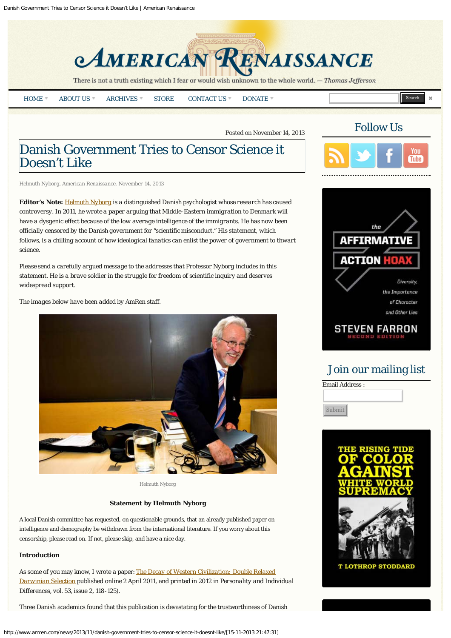

There is not a truth existing which I fear or would wish unknown to the whole world. - Thomas Jefferson

| HOME | ABOUT U <sup>c</sup> | <b>HIVES</b><br>$ARC^r$<br>. <i>.</i> | <b>STORE</b> | <b>INIT</b><br>ACT US<br>'TAC<br>$\cdots$ | <b>DONATE</b> |  | I<br>$T = 100$ |  |
|------|----------------------|---------------------------------------|--------------|-------------------------------------------|---------------|--|----------------|--|
|------|----------------------|---------------------------------------|--------------|-------------------------------------------|---------------|--|----------------|--|

Posted on November 14, 2013

# Danish Government Tries to Censor Science it Doesn't Like

*Helmuth Nyborg, American Renaissance, November 14, 2013*

**Editor's Note:** *[Helmuth Nyborg](http://www.helmuthnyborg.dk/) is a distinguished Danish psychologist whose research has caused controversy. In 2011, he wrote a paper arguing that Middle-Eastern immigration to Denmark will have a dysgenic effect because of the low average intelligence of the immigrants. He has now been officially censored by the Danish government for "scientific misconduct." His statement, which follows, is a chilling account of how ideological fanatics can enlist the power of government to thwart science.*

*Please send a carefully argued message to the addresses that Professor Nyborg includes in this statement. He is a brave soldier in the struggle for freedom of scientific inquiry and deserves widespread support.*

*The images below have been added by AmRen staff.*



Helmuth Nyborg

# **Statement by Helmuth Nyborg**

A local Danish committee has requested, on questionable grounds, that an already published paper on intelligence and demography be withdrawn from the international literature. If you worry about this censorship, please read on. If not, please skip, and have a nice day.

## **Introduction**

As some of you may know, I wrote a paper: *[The Decay of Western Civilization: Double Relaxed](https://lesacreduprintemps19.files.wordpress.com/2011/04/nyborg-2011-the-decay-of-western-civilization-double-relaxed-darwinian-selection.pdf) [Darwinian Selection](https://lesacreduprintemps19.files.wordpress.com/2011/04/nyborg-2011-the-decay-of-western-civilization-double-relaxed-darwinian-selection.pdf)* published online 2 April 2011, and printed in 2012 in *Personality and Individual Differences, vol. 53,* issue 2, 118-125).

Three Danish academics found that this publication is devastating for the trustworthiness of Danish





# Join our mailing list



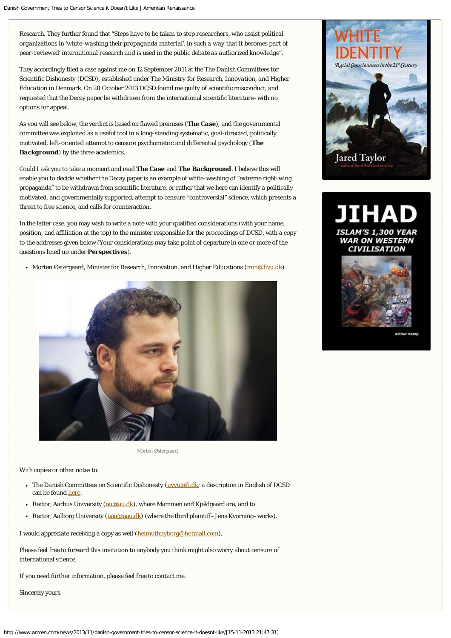Research. They further found that "*Steps have to be taken to stop researchers*, *who assist political organizations in 'white-washing their propaganda material', in such a way that it becomes part of peer-reviewed' international research and is used in the public debate as authorized knowledge*".

They accordingly filed a case against me on 12 September 2011 at the *The Danish Committees for Scientific Dishonesty* (DCSD), established under *The Ministry for Research, Innovation, and Higher Education* in Denmark. On 28 October 2013 DCSD found me guilty of scientific misconduct, and requested that the Decay paper be withdrawn from the international scientific literature–with no options for appeal.

As you will see below, the verdict is based on flawed premises (*The Case*), and the governmental committee was exploited as a useful tool in a long-standing systematic, goal-directed, politically motivated, left-oriented attempt to censure psychometric and differential psychology (*The* **Background**) by the three academics.

Could I ask you to take a moment and read *The Case* and *The Background*. I believe this will enable you to decide whether the Decay paper is an example of white-washing of "extreme right-wing propaganda" to be withdrawn from scientific literature, or rather that we here can identify a politically motivated, and governmentally supported, attempt to censure "controversial" science, which presents a threat to free science, and calls for counteraction.

In the latter case, you may wish to write a note with your qualified considerations (with your name, position, and affiliation at the top) to the minister responsible for the proceedings of DCSD, with a copy to the addresses given below (Your considerations may take point of departure in one or more of the questions lined up under *Perspectives*).

• Morten Østergaard, Minister for Research, Innovation, and Higher Educations ([min@fivu.dk](mailto:min@fivu.dk)).



Morten Østergaard

With copies or other notes to:

- *The Danish Committees on Scientific Dishonesty* ([uvvu@fi.dk;](mailto:uvvu@fi.dk) a description in English of DCSD can be found [here.](http://fivu.dk/en/research-and-innovation/councils-and-commissions/the-danish-committees-on-scientific-dishonesty/the-danish-committees-on-scientific-dishonesty)
- Rector, Aarhus University ( $au@au$ , dk), where Mammen and Kieldgaard are, and to
- Rector, Aalborg University ( $a$ au@aau.dk) (where the third plaintiff–Jens Kvorning–works).

I would appreciate receiving a copy as well ([helmuthnyborg@hotmail.com](mailto:helmuthnyborg@hotmail.com)).

Please feel free to forward this invitation to anybody you think might also worry about censure of international science.

If you need further information, please feel free to contact me.

Sincerely yours,



# **AM'S 1,300 YEAR WAR ON WESTERN CIVILISATION**

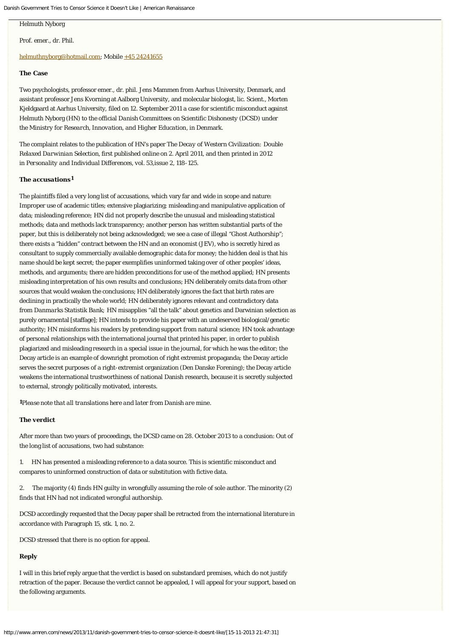## Helmuth Nyborg

Prof. emer., dr. Phil.

#### [helmuthnyborg@hotmail.com](mailto:helmuthnyborg@hotmail.com); Mobile [+45 24241655](tel:%2B45%2024241655)

# **The Case**

Two psychologists, professor emer., dr. phil. Jens Mammen from Aarhus University, Denmark, and assistant professor Jens Kvorning at Aalborg University, and molecular biologist, lic. Scient., Morten Kjeldgaard at Aarhus University, filed on 12. September 2011 a case for scientific misconduct against Helmuth Nyborg (HN) to the official *Danish Committees on Scientific Dishonesty* (DCSD) under the *Ministry for Research, Innovation, and Higher Education*, in Denmark.

The complaint relates to the publication of HN's paper *The Decay of Western Civilization: Double Relaxed Darwinian Selection,* first published online on 2. April 2011, and then printed in 2012 in *Personality and Individual Differences, vol. 53,*issue 2, 118-125.

#### *The accusations 1*

The plaintiffs filed a very long list of accusations, which vary far and wide in scope and nature: Improper use of academic titles; extensive plagiarizing; misleading and manipulative application of data; misleading reference; HN did not properly describe the unusual and misleading statistical methods; data and methods lack transparency; another person has written substantial parts of the paper, but this is deliberately not being acknowledged; we see a case of illegal "Ghost Authorship"; there exists a "hidden" contract between the HN and an economist (JEV), who is secretly hired as consultant to supply commercially available demographic data for money; the hidden deal is that his name should be kept secret; the paper exemplifies uninformed taking over of other peoples' ideas, methods, and arguments; there are hidden preconditions for use of the method applied; HN presents misleading interpretation of his own results and conclusions; HN deliberately omits data from other sources that would weaken the conclusions; HN deliberately ignores the fact that birth rates are declining in practically the whole world; HN deliberately ignores relevant and contradictory data from *Danmarks Statistik Bank;* HN misapplies "all the talk" about genetics and Darwinian selection as purely ornamental [staffage]; HN intends to provide his paper with an undeserved biological/genetic authority; HN misinforms his readers by pretending support from natural science; HN took advantage of personal relationships with the international journal that printed his paper, in order to publish plagiarized and misleading research in a special issue in the journal, for which he was the editor; the Decay article is an example of downright promotion of right extremist propaganda; the Decay article serves the secret purposes of a right-extremist organization (Den Danske Forening); the Decay article weakens the international trustworthiness of national Danish research, because it is secretly subjected to external, strongly politically motivated, interests.

*Please note that all translations here and later from Danish are mine*. *1*

# *The verdict*

After more than two years of proceedings, the DCSD came on 28. October 2013 to a conclusion: Out of the long list of accusations, two had substance:

1. HN has presented a misleading reference to a data source. This is scientific misconduct and compares to uninformed construction of data or substitution with fictive data.

2. The majority (4) finds HN guilty in wrongfully assuming the role of sole author. The minority (2) finds that HN had not indicated wrongful authorship.

DCSD accordingly requested that the Decay paper shall be retracted from the international literature in accordance with Paragraph 15, stk. 1, no. 2.

DCSD stressed that there is no option for appeal.

# *Reply*

I will in this brief reply argue that the verdict is based on substandard premises, which do not justify retraction of the paper. Because the verdict cannot be appealed, I will appeal for your support, based on the following arguments.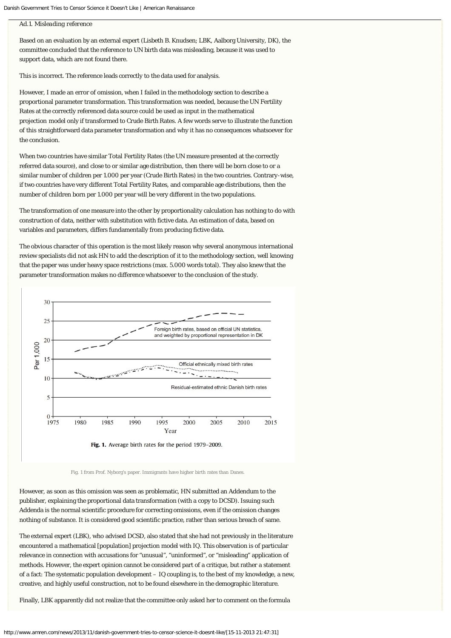#### *Ad.1. Misleading reference*

Based on an evaluation by an external expert (Lisbeth B. Knudsen; LBK, Aalborg University, DK), the committee concluded that the reference to UN birth data was misleading, because it was used to support data, which are not found there.

This is incorrect. The reference leads correctly to the data used for analysis.

However, I made an error of omission, when I failed in the methodology section to describe a proportional parameter transformation. This transformation was needed, because the UN Fertility Rates at the correctly referenced data source could be used as input in the mathematical projection model only if transformed to Crude Birth Rates. A few words serve to illustrate the function of this straightforward data parameter transformation and why it has no consequences whatsoever for the conclusion.

When two countries have similar Total Fertility Rates (the UN measure presented at the correctly referred data source), and close to or similar age distribution, then there will be born close to or a similar number of children per 1.000 per year (Crude Birth Rates) in the two countries. Contrary-wise, if two countries have very different Total Fertility Rates, and comparable age distributions, then the number of children born per 1.000 per year will be very different in the two populations.

The transformation of one measure into the other by proportionality calculation has nothing to do with construction of data, neither with substitution with fictive data. An estimation of data, based on variables and parameters, differs fundamentally from producing fictive data.

The obvious character of this operation is the most likely reason why several anonymous international review specialists did not ask HN to add the description of it to the methodology section, well knowing that the paper was under heavy space restrictions (max. 5.000 words total). They also knew that the parameter transformation makes no difference whatsoever to the conclusion of the study.



Fig. 1. Average birth rates for the period 1979-2009.

Fig. 1 from Prof. Nyborg's paper. Immigrants have higher birth rates than Danes.

However, as soon as this omission was seen as problematic, HN submitted an Addendum to the publisher, explaining the proportional data transformation (with a copy to DCSD). Issuing such Addenda is the normal scientific procedure for correcting omissions, even if the omission changes nothing of substance. It is considered good scientific practice, rather than serious breach of same.

The external expert (LBK), who advised DCSD, also stated that she had not previously in the literature encountered a mathematical [population] projection model with IQ. This observation is of particular relevance in connection with accusations for "unusual", "uninformed", or "misleading" application of methods. However, the expert opinion cannot be considered part of a critique, but rather a statement of a fact: The systematic population development – IQ coupling is, to the best of my knowledge, a new, creative, and highly useful construction, not to be found elsewhere in the demographic literature.

Finally, LBK apparently did not realize that the committee only asked her to comment on the formula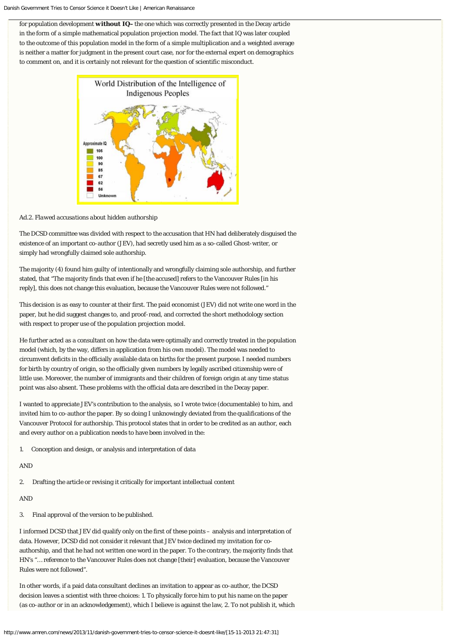for population development *without IQ–*the one which was correctly presented in the Decay article in the form of a simple mathematical population projection model. The fact that IQ was later coupled to the outcome of this population model in the form of a simple multiplication and a weighted average is neither a matter for judgment in the present court case, nor for the external expert on demographics to comment on, and it is certainly not relevant for the question of scientific misconduct.



*Ad.2. Flawed accusations about hidden authorship*

The DCSD committee was divided with respect to the accusation that HN had deliberately disguised the existence of an important co-author (JEV), had secretly used him as a so-called Ghost-writer, or simply had wrongfully claimed sole authorship.

The majority (4) found him guilty of intentionally and wrongfully claiming sole authorship, and further stated, that "The majority finds that even if he [the accused] refers to the Vancouver Rules [in his reply], this does not change this evaluation, because the Vancouver Rules were not followed."

This decision is as easy to counter at their first. The paid economist (JEV) did not write one word in the paper, but he did suggest changes to, and proof-read, and corrected the short methodology section with respect to proper use of the population projection model.

He further acted as a consultant on how the data were optimally and correctly treated in the population model (which, by the way, differs in application from his own model). The model was needed to circumvent deficits in the officially available data on births for the present purpose. I needed numbers for birth by country of origin, so the officially given numbers by legally ascribed citizenship were of little use. Moreover, the number of immigrants and their children of foreign origin at any time status point was also absent. These problems with the official data are described in the Decay paper.

I wanted to appreciate JEV's contribution to the analysis, so I wrote twice (documentable) to him, and invited him to co-author the paper. By so doing I unknowingly deviated from the qualifications of the Vancouver Protocol for authorship. This protocol states that in order to be credited as an author, each and every author on a publication needs to have been involved in the:

1. Conception and design, or analysis and interpretation of data

# AND

2. Drafting the article or revising it critically for important intellectual content

# AND

3. Final approval of the version to be published.

I informed DCSD that JEV did qualify only on the first of these points – analysis and interpretation of data. However, DCSD did not consider it relevant that JEV twice declined my invitation for coauthorship, and that he had not written one word in the paper. To the contrary, the majority finds that HN's "… reference to the Vancouver Rules does not change [their] evaluation, because the Vancouver Rules were not followed".

In other words, if a paid data consultant declines an invitation to appear as co-author, the DCSD decision leaves a scientist with three choices: 1. To physically force him to put his name on the paper (as co-author or in an acknowledgement), which I believe is against the law, 2. To not publish it, which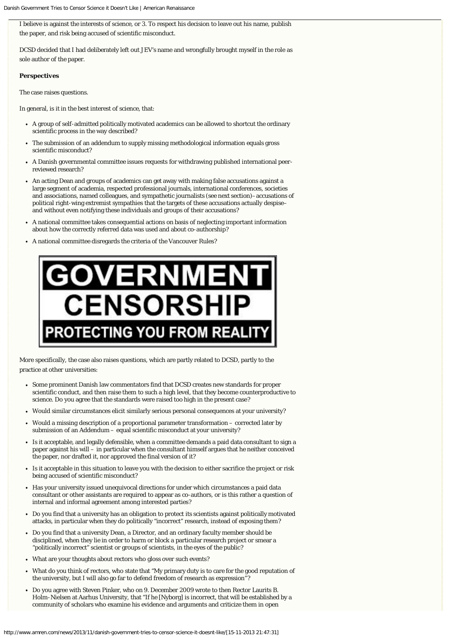I believe is against the interests of science, or 3. To respect his decision to leave out his name, publish the paper, and risk being accused of scientific misconduct.

DCSD decided that I had deliberately left out JEV's name and wrongfully brought myself in the role as sole author of the paper.

#### *Perspectives*

The case raises questions.

In general, is it in the best interest of science, that:

- A group of self-admitted politically motivated academics can be allowed to shortcut the ordinary scientific process in the way described?
- The submission of an addendum to supply missing methodological information equals gross scientific misconduct?
- A Danish governmental committee issues requests for withdrawing published international peerreviewed research?
- An acting Dean and groups of academics can get away with making false accusations against a large segment of academia, respected professional journals, international conferences, societies and associations, named colleagues, and sympathetic journalists (see next section)–accusations of political right-wing extremist sympathies that the targets of these accusations actually despise– and without even notifying these individuals and groups of their accusations?
- A national committee takes consequential actions on basis of neglecting important information about how the correctly referred data was used and about co-authorship?
- A national committee disregards the criteria of the Vancouver Rules?



More specifically, the case also raises questions, which are partly related to DCSD, partly to the practice at other universities:

- Some prominent Danish law commentators find that DCSD creates new standards for proper scientific conduct, and then raise them to such a high level, that they become counterproductive to science. Do you agree that the standards were raised too high in the present case?
- Would similar circumstances elicit similarly serious personal consequences at your university?
- Would a missing description of a proportional parameter transformation corrected later by submission of an Addendum – equal scientific misconduct at your university?
- Is it acceptable, and legally defensible, when a committee demands a paid data consultant to sign a paper against his will – in particular when the consultant himself argues that he neither conceived the paper, nor drafted it, nor approved the final version of it?
- Is it acceptable in this situation to leave you with the decision to either sacrifice the project or risk  $\bullet$ being accused of scientific misconduct?
- Has your university issued unequivocal directions for under which circumstances a paid data consultant or other assistants are required to appear as co-authors, or is this rather a question of internal and informal agreement among interested parties?
- Do you find that a university has an obligation to protect its scientists against politically motivated attacks, in particular when they do politically "incorrect" research, instead of exposing them?
- Do you find that a university Dean, a Director, and an ordinary faculty member should be disciplined, when they lie in order to harm or block a particular research project or smear a "politically incorrect" scientist or groups of scientists, in the eyes of the public?
- What are your thoughts about rectors who gloss over such events?
- What do you think of rectors, who state that "My primary duty is to care for the good reputation of the university, but I will also go far to defend freedom of research as expression"?
- Do you agree with Steven Pinker, who on 9. December 2009 wrote to then Rector Laurits B. Holm-Nielsen at Aarhus University, that "If he [Nyborg] is incorrect, that will be established by a community of scholars who examine his evidence and arguments and criticize them in open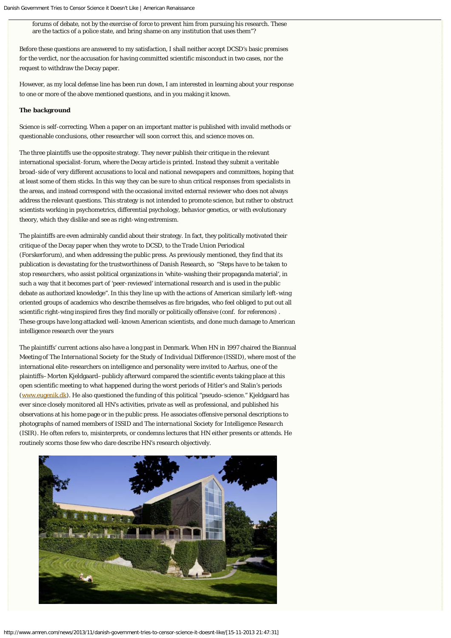forums of debate, not by the exercise of force to prevent him from pursuing his research. These are the tactics of a police state, and bring shame on any institution that uses them"?

Before these questions are answered to my satisfaction, I shall neither accept DCSD's basic premises for the verdict, nor the accusation for having committed scientific misconduct in two cases, nor the request to withdraw the Decay paper.

However, as my local defense line has been run down, I am interested in learning about your response to one or more of the above mentioned questions, and in you making it known.

## **The background**

Science is self-correcting. When a paper on an important matter is published with invalid methods or questionable conclusions, other researcher will soon correct this, and science moves on.

The three plaintiffs use the opposite strategy. They never publish their critique in the relevant international specialist-forum, where the Decay article is printed. Instead they submit a veritable broad-side of very different accusations to local and national newspapers and committees, hoping that at least some of them sticks. In this way they can be sure to shun critical responses from specialists in the areas, and instead correspond with the occasional invited external reviewer who does not always address the relevant questions. This strategy is not intended to promote science, but rather to obstruct scientists working in psychometrics, differential psychology, behavior genetics, or with evolutionary theory, which they dislike and see as right-wing extremism.

The plaintiffs are even admirably candid about their strategy. In fact, they politically motivated their critique of the Decay paper when they wrote to DCSD, to the Trade Union Periodical (*Forskerforum),* and when addressing the public press. As previously mentioned, they find that its publication is devastating for the trustworthiness of Danish Research, so "*Steps have to be taken to stop researchers*, who assist political organizations in 'white-washing their propaganda material', in such a way that it becomes part of 'peer-reviewed' international research and is used in the public debate as authorized knowledge". In this they line up with the actions of American similarly left-wing oriented groups of academics who describe themselves as fire brigades, who feel obliged to put out all scientific right-wing inspired fires they find morally or politically offensive (conf. for references) . These groups have long attacked well-known American scientists, and done much damage to American intelligence research over the years

The plaintiffs' current actions also have a long past in Denmark. When HN in 1997 chaired the Biannual Meeting of *The International Society for the Study of Individual Difference (ISSID)*, where most of the international elite-researchers on intelligence and personality were invited to Aarhus, one of the plaintiffs–Morten Kjeldgaard–publicly afterward compared the scientific events taking place at this open scientific meeting to what happened during the worst periods of Hitler's and Stalin's periods ([www.eugenik.dk\)](http://www.eugenik.dk/). He also questioned the funding of this political "pseudo-science." Kjeldgaard has ever since closely monitored all HN's activities, private as well as professional, and published his observations at his home page or in the public press. He associates offensive personal descriptions to photographs of named members of ISSID and *The international Society for Intelligence Research (*ISIR*)*. He often refers to, misinterprets, or condemns lectures that HN either presents or attends. He routinely scorns those few who dare describe HN's research objectively.

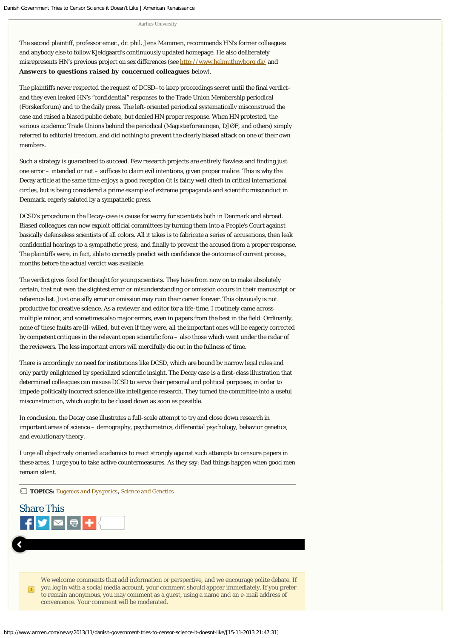#### Aarhus University

The second plaintiff, professor emer., dr. phil. Jens Mammen, recommends HN's former colleagues and anybody else to follow Kjeldgaard's continuously updated homepage. He also deliberately misrepresents HN's previous project on sex differences (see<http://www.helmuthnyborg.dk/> and *Answers to questions raised by concerned colleagues* below).

The plaintiffs never respected the request of DCSD–to keep proceedings secret until the final verdict– and they even leaked HN's "confidential" responses to the Trade Union Membership periodical (Forskerforum) and to the daily press. The left-oriented periodical systematically misconstrued the case and raised a biased public debate, but denied HN proper response. When HN protested, the various academic Trade Unions behind the periodical (Magisterforeningen, DJØF, and others) simply referred to editorial freedom, and did nothing to prevent the clearly biased attack on one of their own members.

Such a strategy is guaranteed to succeed. Few research projects are entirely flawless and finding just one error – intended or not – suffices to claim evil intentions, given proper malice. This is why the Decay article at the same time enjoys a good reception (it is fairly well cited) in critical international circles, but is being considered a prime example of extreme propaganda and scientific misconduct in Denmark, eagerly saluted by a sympathetic press.

DCSD's procedure in the Decay-case is cause for worry for scientists both in Denmark and abroad. Biased colleagues can now exploit official committees by turning them into a *People's Court* against basically defenseless scientists of all colors. All it takes is to fabricate a series of accusations, then leak confidential hearings to a sympathetic press, and finally to prevent the accused from a proper response. The plaintiffs were, in fact, able to correctly predict with confidence the outcome of current process, months before the actual verdict was available.

The verdict gives food for thought for young scientists. They have from now on to make absolutely certain, that not even the slightest error or misunderstanding or omission occurs in their manuscript or reference list. Just one silly error or omission may ruin their career forever. This obviously is not productive for creative science. As a reviewer and editor for a life-time, I routinely came across multiple minor, and sometimes also major errors, even in papers from the best in the field. Ordinarily, none of these faults are ill-willed, but even if they were, all the important ones will be eagerly corrected by competent critiques in the relevant open scientific fora – also those which went under the radar of the reviewers. The less important errors will mercifully die out in the fullness of time.

There is accordingly no need for institutions like DCSD, which are bound by narrow legal rules and only partly enlightened by specialized scientific insight. The Decay case is a first-class illustration that determined colleagues can misuse DCSD to serve their personal and political purposes, in order to impede politically incorrect science like intelligence research. They turned the committee into a useful misconstruction, which ought to be closed down as soon as possible.

In conclusion, the Decay case illustrates a full-scale attempt to try and close down research in important areas of science – demography, psychometrics, differential psychology, behavior genetics, and evolutionary theory.

I urge all objectively oriented academics to react strongly against such attempts to censure papers in these areas. I urge you to take active countermeasures. As they say: Bad things happen when good men remain silent.

**TOPICS:** *[Eugenics and Dysgenics](http://www.amren.com/tag/eugenics-and-dysgenics/)***,** *[Science and Genetics](http://www.amren.com/tag/science-and-genetics/)*



We welcome comments that add information or perspective, and we encourage polite debate. If you log in with a social media account, your comment should appear immediately. If you prefer to remain anonymous, you may comment as a guest, using a name and an e-mail address of convenience. Your comment will be moderated.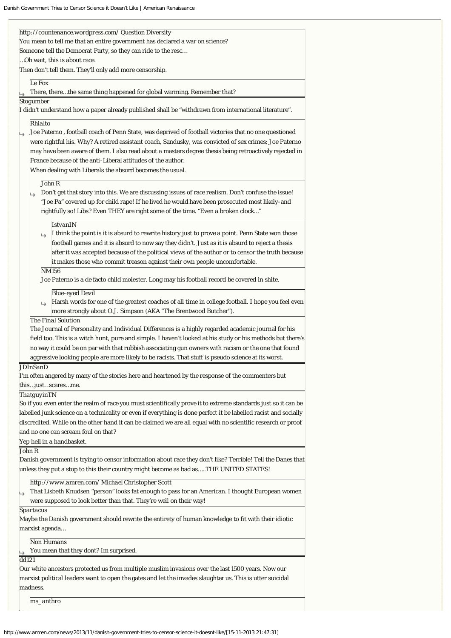| http://countenance.wordpress.com/ Question Diversity                                                             |
|------------------------------------------------------------------------------------------------------------------|
| You mean to tell me that an entire government has declared a war on science?                                     |
| Someone tell the Democrat Party, so they can ride to the resc                                                    |
| Oh wait, this is about race.                                                                                     |
| Then don't tell them. They'll only add more censorship.                                                          |
| Le Fox                                                                                                           |
| There, therethe same thing happened for global warming. Remember that?                                           |
| Stogumber                                                                                                        |
| ." I didn't understand how a paper already published shall be "withdrawn from international literature           |
|                                                                                                                  |
| <b>Rhialto</b>                                                                                                   |
| Joe Paterno, football coach of Penn State, was deprived of football victories that no one questioned             |
| were rightful his. Why? A retired assistant coach, Sandusky, was convicted of sex crimes; Joe Paterno            |
| may have been aware of them. I also read about a masters degree thesis being retroactively rejected in           |
| France because of the anti-Liberal attitudes of the author.                                                      |
| When dealing with Liberals the absurd becomes the usual.                                                         |
| John R                                                                                                           |
| Don't get that story into this. We are discussing issues of race realism. Don't confuse the issue!<br>دا         |
| "Joe Pa" covered up for child rape! If he lived he would have been prosecuted most likely-and                    |
| rightfully so! Libs? Even THEY are right some of the time. "Even a broken clock"                                 |
| <b>IstvanIN</b>                                                                                                  |
| I think the point is it is absurd to rewrite history just to prove a point. Penn State won those                 |
| football games and it is absurd to now say they didn't. Just as it is absurd to reject a thesis                  |
| after it was accepted because of the political views of the author or to censor the truth because                |
| it makes those who commit treason against their own people uncomfortable.                                        |
| NM156                                                                                                            |
| Joe Paterno is a de facto child molester. Long may his football record be covered in shite.                      |
|                                                                                                                  |
| <b>Blue-eyed Devil</b>                                                                                           |
| Harsh words for one of the greatest coaches of all time in college football. I hope you feel even                |
| more strongly about O.J. Simpson (AKA "The Brentwood Butcher").<br><b>The Final Solution</b>                     |
| The Journal of Personality and Individual Differences is a highly regarded academic journal for his              |
| field too. This is a witch hunt, pure and simple. I haven't looked at his study or his methods but there's       |
| no way it could be on par with that rubbish associating gun owners with racism or the one that found             |
| aggressive looking people are more likely to be racists. That stuff is pseudo science at its worst.              |
| <b>JDInSanD</b>                                                                                                  |
| I'm often angered by many of the stories here and heartened by the response of the commenters but                |
| thisjustscaresme.                                                                                                |
| ThatguyinTN                                                                                                      |
| So if you even enter the realm of race you must scientifically prove it to extreme standards just so it can be   |
| labelled junk science on a technicality or even if everything is done perfect it be labelled racist and socially |
| discredited. While on the other hand it can be claimed we are all equal with no scientific research or proof     |
| and no one can scream foul on that?                                                                              |
| Yep hell in a handbasket.                                                                                        |
| John R                                                                                                           |
| Danish government is trying to censor information about race they don't like? Terrible! Tell the Danes that      |
| unless they put a stop to this their country might become as bad asTHE UNITED STATES!                            |
|                                                                                                                  |
| http://www.amren.com/Michael Christopher Scott                                                                   |
| That Lisbeth Knudsen "person" looks fat enough to pass for an American. I thought European women                 |
| were supposed to look better than that. They're well on their way!                                               |
| <b>Spartacus</b>                                                                                                 |
| Maybe the Danish government should rewrite the entirety of human knowledge to fit with their idiotic             |
| marxist agenda                                                                                                   |
| <b>Non Humans</b>                                                                                                |
| You mean that they dont? Im surprised.                                                                           |
| dd121                                                                                                            |
| Our white ancestors protected us from multiple muslim invasions over the last 1500 years. Now our                |
| marxist political leaders want to open the gates and let the invades slaughter us. This is utter suicidal        |
| madness.                                                                                                         |
|                                                                                                                  |

*ms\_anthro*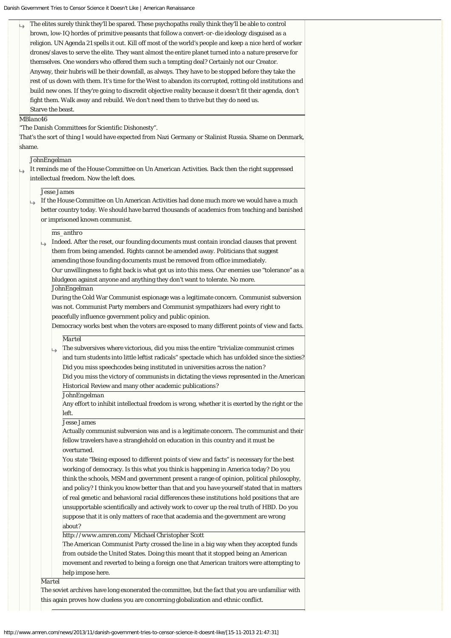The elites surely think they'll be spared. These psychopaths really think they'll be able to control brown, low-IQ hordes of primitive peasants that follow a convert-or-die ideology disguised as a religion. UN Agenda 21 spells it out. Kill off most of the world's people and keep a nice herd of worker drones/slaves to serve the elite. They want almost the entire planet turned into a nature preserve for themselves. One wonders who offered them such a tempting deal? Certainly not our Creator. Anyway, their hubris will be their downfall, as always. They have to be stopped before they take the rest of us down with them. It's time for the West to abandon its corrupted, rotting old institutions and build new ones. If they're going to discredit objective reality because it doesn't fit their agenda, don't fight them. Walk away and rebuild. We don't need them to thrive but they do need us. Starve the beast.

#### *MBlanc46*

"The Danish Committees for Scientific Dishonesty".

That's the sort of thing I would have expected from Nazi Germany or Stalinist Russia. Shame on Denmark, shame.

#### *JohnEngelman*

It reminds me of the House Committee on Un American Activities. Back then the right suppressed intellectual freedom. Now the left does.

#### *Jesse James*

If the House Committee on Un American Activities had done much more we would have a much Ls better country today. We should have barred thousands of academics from teaching and banished or imprisoned known communist.

#### *ms\_anthro*

Indeed. After the reset, our founding documents must contain ironclad clauses that prevent them from being amended. Rights cannot be amended away. Politicians that suggest amending those founding documents must be removed from office immediately. Our unwillingness to fight back is what got us into this mess. Our enemies use "tolerance" as a bludgeon against anyone and anything they don't want to tolerate. No more.

#### *JohnEngelman*

During the Cold War Communist espionage was a legitimate concern. Communist subversion was not. Communist Party members and Communist sympathizers had every right to peacefully influence government policy and public opinion.

Democracy works best when the voters are exposed to many different points of view and facts.

#### *Martel*

The subversives where victorious, did you miss the entire "trivialize communist crimes and turn students into little leftist radicals" spectacle which has unfolded since the sixties? Did you miss speechcodes being instituted in universities across the nation?

Did you miss the victory of communists in dictating the views represented in the American Historical Review and many other academic publications?

# *JohnEngelman*

Any effort to inhibit intellectual freedom is wrong, whether it is exerted by the right or the left.

#### *Jesse James*

Actually communist subversion was and is a legitimate concern. The communist and their fellow travelers have a stranglehold on education in this country and it must be overturned.

You state "Being exposed to different points of view and facts" is necessary for the best working of democracy. Is this what you think is happening in America today? Do you think the schools, MSM and government present a range of opinion, political philosophy, and policy? I think you know better than that and you have yourself stated that in matters of real genetic and behavioral racial differences these institutions hold positions that are unsupportable scientifically and actively work to cover up the real truth of HBD. Do you suppose that it is only matters of race that academia and the government are wrong about?

## *http://www.amren.com/ Michael Christopher Scott*

The American Communist Party crossed the line in a big way when they accepted funds from outside the United States. Doing this meant that it stopped being an American movement and reverted to being a foreign one that American traitors were attempting to help impose here.

#### *Martel*

The soviet archives have long exonerated the committee, but the fact that you are unfamiliar with this again proves how clueless you are concerning globalization and ethnic conflict.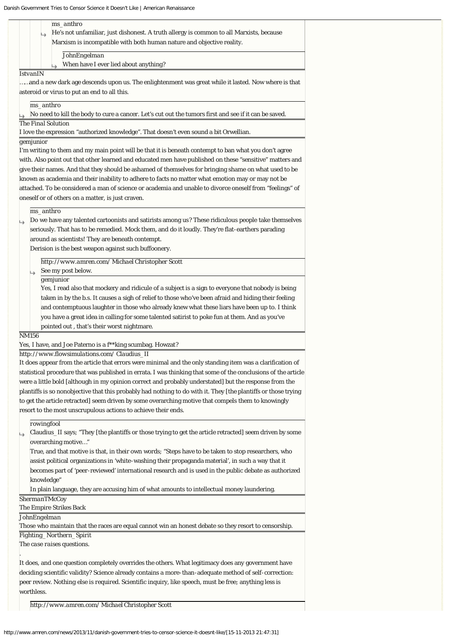|                 | ms_anthro                                                                                                                                                 |
|-----------------|-----------------------------------------------------------------------------------------------------------------------------------------------------------|
|                 | He's not unfamiliar, just dishonest. A truth allergy is common to all Marxists, because                                                                   |
|                 | Marxism is incompatible with both human nature and objective reality.                                                                                     |
|                 | <b>JohnEngelman</b>                                                                                                                                       |
|                 | When have I ever lied about anything?                                                                                                                     |
| <b>IstvanIN</b> |                                                                                                                                                           |
|                 | and a new dark age descends upon us. The enlightenment was great while it lasted. Now where is that                                                       |
|                 | asteroid or virus to put an end to all this.                                                                                                              |
|                 | ms_anthro                                                                                                                                                 |
|                 | No need to kill the body to cure a cancer. Let's cut out the tumors first and see if it can be saved.                                                     |
|                 | The Final Solution                                                                                                                                        |
|                 | I love the expression "authorized knowledge". That doesn't even sound a bit Orwellian.                                                                    |
| gemjunior       |                                                                                                                                                           |
|                 | I'm writing to them and my main point will be that it is beneath contempt to ban what you don't agree                                                     |
|                 | with. Also point out that other learned and educated men have published on these "sensitive" matters and                                                  |
|                 | give their names. And that they should be ashamed of themselves for bringing shame on what used to be                                                     |
|                 | known as academia and their inability to adhere to facts no matter what emotion may or may not be                                                         |
|                 | attached. To be considered a man of science or academia and unable to divorce oneself from "feelings" of                                                  |
|                 | oneself or of others on a matter, is just craven.                                                                                                         |
|                 | ms anthro                                                                                                                                                 |
|                 | Do we have any talented cartoonists and satirists among us? These ridiculous people take themselves                                                       |
|                 | seriously. That has to be remedied. Mock them, and do it loudly. They're flat-earthers parading                                                           |
|                 | around as scientists! They are beneath contempt.                                                                                                          |
|                 | Derision is the best weapon against such buffoonery.                                                                                                      |
|                 |                                                                                                                                                           |
|                 | http://www.amren.com/Michael Christopher Scott                                                                                                            |
|                 | ⇒ See my post below.                                                                                                                                      |
|                 | gemjunior                                                                                                                                                 |
|                 | Yes, I read also that mockery and ridicule of a subject is a sign to everyone that nobody is being                                                        |
|                 | taken in by the b.s. It causes a sigh of relief to those who've been afraid and hiding their feeling                                                      |
|                 | and contemptuous laughter in those who already knew what these liars have been up to. I think                                                             |
|                 | you have a great idea in calling for some talented satirist to poke fun at them. And as you've                                                            |
|                 | pointed out, that's their worst nightmare.                                                                                                                |
| <i>NM156</i>    | Yes, I have, and Joe Paterno is a f**king scumbag. Howzat?                                                                                                |
|                 |                                                                                                                                                           |
|                 | http://www.flowsimulations.com/ Claudius_II<br>It does appear from the article that errors were minimal and the only standing item was a clarification of |
|                 | statistical procedure that was published in errata. I was thinking that some of the conclusions of the article                                            |
|                 | were a little bold [although in my opinion correct and probably understated] but the response from the                                                    |
|                 | plantiffs is so nonobjective that this probably had nothing to do with it. They [the plantiffs or those trying                                            |
|                 | to get the article retracted] seem driven by some overarching motive that compels them to knowingly                                                       |
|                 |                                                                                                                                                           |
|                 | resort to the most unscrupulous actions to achieve their ends.                                                                                            |
|                 | rowingfool                                                                                                                                                |
| →               | Claudius_II says; "They [the plantiffs or those trying to get the article retracted] seem driven by some                                                  |
|                 | overarching motive"                                                                                                                                       |
|                 | True, and that motive is that, in their own words; "Steps have to be taken to stop researchers, who                                                       |
|                 | assist political organizations in 'white-washing their propaganda material', in such a way that it                                                        |
|                 | becomes part of 'peer-reviewed' international research and is used in the public debate as authorized                                                     |
|                 | knowledge"                                                                                                                                                |
|                 | In plain language, they are accusing him of what amounts to intellectual money laundering.                                                                |
|                 | ShermanTMcCoy                                                                                                                                             |
|                 | The Empire Strikes Back                                                                                                                                   |
|                 | JohnEngelman                                                                                                                                              |
|                 | Those who maintain that the races are equal cannot win an honest debate so they resort to censorship.                                                     |

*Fighting\_Northern\_Spirit The case raises questions.*

.

It does, and one question completely overrides the others. What legitimacy does any government have deciding scientific validity? Science already contains a more-than-adequate method of self-correction: peer review. *Nothing else is required.* Scientific inquiry, like speech, must be free; anything less is worthless.

*http://www.amren.com/ Michael Christopher Scott*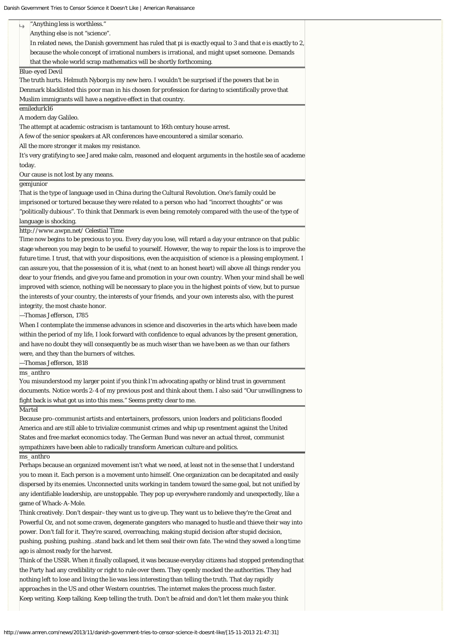Danish Government Tries to Censor Science it Doesn't Like | American Renaissance

|                        | "Anything less is worthless."                                                                                  |
|------------------------|----------------------------------------------------------------------------------------------------------------|
|                        | Anything else is not "science".                                                                                |
|                        | In related news, the Danish government has ruled that pi is exactly equal to 3 and that e is exactly to 2,     |
|                        | because the whole concept of irrational numbers is irrational, and might upset someone. Demands                |
|                        | that the whole world scrap mathematics will be shortly forthcoming.                                            |
| <b>Blue-eyed Devil</b> |                                                                                                                |
|                        | The truth hurts. Helmuth Nyborg is my new hero. I wouldn't be surprised if the powers that be in               |
|                        | Denmark blacklisted this poor man in his chosen for profession for daring to scientifically prove that         |
|                        | Muslim immigrants will have a negative effect in that country.                                                 |
| emiledurk16            |                                                                                                                |
| A modern day Galileo.  |                                                                                                                |
|                        | The attempt at academic ostracism is tantamount to 16th century house arrest.                                  |
|                        | A few of the senior speakers at AR conferences have encountered a similar scenario.                            |
|                        | All the more stronger it makes my resistance.                                                                  |
|                        | It's very gratifying to see Jared make calm, reasoned and eloquent arguments in the hostile sea of academe     |
| today.                 |                                                                                                                |
|                        | Our cause is not lost by any means.                                                                            |
| gemjunior              |                                                                                                                |
|                        | That is the type of language used in China during the Cultural Revolution. One's family could be               |
|                        | imprisoned or tortured because they were related to a person who had "incorrect thoughts" or was               |
|                        | "politically dubious". To think that Denmark is even being remotely compared with the use of the type of       |
| language is shocking.  |                                                                                                                |
|                        | http://www.awpn.net/ Celestial Time                                                                            |
|                        | Time now begins to be precious to you. Every day you lose, will retard a day your entrance on that public      |
|                        | stage whereon you may begin to be useful to yourself. However, the way to repair the loss is to improve the    |
|                        | future time. I trust, that with your dispositions, even the acquisition of science is a pleasing employment. I |
|                        | can assure you, that the possession of it is, what (next to an honest heart) will above all things render you  |
|                        | dear to your friends, and give you fame and promotion in your own country. When your mind shall be well        |
|                        |                                                                                                                |
|                        | improved with science, nothing will be necessary to place you in the highest points of view, but to pursue     |
|                        | the interests of your country, the interests of your friends, and your own interests also, with the purest     |
|                        | integrity, the most chaste honor.                                                                              |
|                        | -Thomas Jefferson, 1785                                                                                        |
|                        | When I contemplate the immense advances in science and discoveries in the arts which have been made            |
|                        | within the period of my life, I look forward with confidence to equal advances by the present generation,      |
|                        | and have no doubt they will consequently be as much wiser than we have been as we than our fathers             |
|                        | were, and they than the burners of witches.                                                                    |
|                        | -Thomas Jefferson, 1818                                                                                        |
| ms anthro              |                                                                                                                |
|                        | You misunderstood my larger point if you think I'm advocating apathy or blind trust in government              |
|                        | documents. Notice words 2-4 of my previous post and think about them. I also said "Our unwillingness to        |
|                        | fight back is what got us into this mess." Seems pretty clear to me.                                           |
| Martel                 |                                                                                                                |
|                        | Because pro-communist artists and entertainers, professors, union leaders and politicians flooded              |
|                        | America and are still able to trivialize communist crimes and whip up resentment against the United            |
|                        | States and free market economics today. The German Bund was never an actual threat, communist                  |
|                        | sympathizers have been able to radically transform American culture and politics.                              |
| ms_anthro              |                                                                                                                |
|                        | Perhaps because an organized movement isn't what we need, at least not in the sense that I understand          |
|                        | you to mean it. Each person is a movement unto himself. One organization can be decapitated and easily         |
|                        | dispersed by its enemies. Unconnected units working in tandem toward the same goal, but not unified by         |
|                        | any identifiable leadership, are unstoppable. They pop up everywhere randomly and unexpectedly, like a         |
|                        | game of Whack-A-Mole.                                                                                          |
|                        | Think creatively. Don't despair–they want us to give up. They want us to believe they're the Great and         |
|                        | Powerful Oz, and not some craven, degenerate gangsters who managed to hustle and thieve their way into         |
|                        |                                                                                                                |
|                        | power. Don't fall for it. They're scared, overreaching, making stupid decision after stupid decision,          |
|                        | pushing, pushing, pushingstand back and let them seal their own fate. The wind they sowed a long time          |
|                        | ago is almost ready for the harvest.                                                                           |
|                        | Think of the USSR. When it finally collapsed, it was because everyday citizens had stopped pretending that     |
|                        | the Party had any credibility or right to rule over them. They openly mocked the authorities. They had         |

nothing left to lose and living the lie was less interesting than telling the truth. That day rapidly approaches in the US and other Western countries. The internet makes the process much faster.

Keep writing. Keep talking. Keep telling the truth. Don't be afraid and don't let them make you think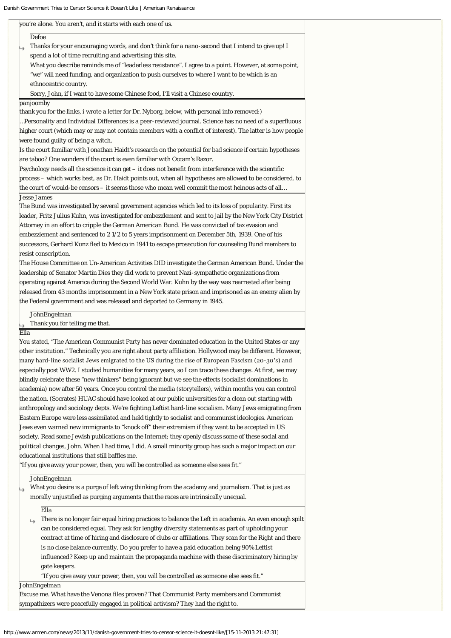| SIT GOVERNMENT THES TO CENSOL SCIENCE IT DOESN'T LIKE   AMERICAN RENAISSANCE                                |
|-------------------------------------------------------------------------------------------------------------|
| you're alone. You aren't, and it starts with each one of us.                                                |
| Defoe                                                                                                       |
| Thanks for your encouraging words, and don't think for a nano-second that I intend to give up! I            |
| spend a lot of time recruiting and advertising this site.                                                   |
| What you describe reminds me of "leaderless resistance". I agree to a point. However, at some point,        |
| "we" will need funding, and organization to push ourselves to where I want to be which is an                |
| ethnocentric country.                                                                                       |
| Sorry, John, if I want to have some Chinese food, I'll visit a Chinese country.                             |
| panjoomby                                                                                                   |
| thank you for the links, i wrote a letter for Dr. Nyborg, below, with personal info removed:)               |
| Personality and Individual Differences is a peer-reviewed journal. Science has no need of a superfluous     |
| higher court (which may or may not contain members with a conflict of interest). The latter is how people   |
| were found guilty of being a witch.                                                                         |
| Is the court familiar with Jonathan Haidt's research on the potential for bad science if certain hypotheses |
| are taboo? One wonders if the court is even familiar with Occam's Razor.                                    |
| Psychology needs all the science it can get - it does not benefit from interference with the scientific     |
| process - which works best, as Dr. Haidt points out, when all hypotheses are allowed to be considered. to   |
| the court of would-be censors - it seems those who mean well commit the most heinous acts of all            |
| <i><b>Jesse James</b></i>                                                                                   |
| The Bund was investigated by several government agencies which led to its loss of popularity. First its     |
| leader, Fritz Julius Kuhn, was investigated for embezzlement and sent to jail by the New York City District |
| Attorney in an effort to cripple the German American Bund. He was convicted of tax evasion and              |
| embezzlement and sentenced to 21/2 to 5 years imprisonment on December 5th, 1939. One of his                |
| successors, Gerhard Kunz fled to Mexico in 1941 to escape prosecution for counseling Bund members to        |
| resist conscription.                                                                                        |
| The House Committee on Un-American Activities DID investigate the German American Bund. Under the           |
| leadership of Senator Martin Dies they did work to prevent Nazi-sympathetic organizations from              |
| operating against America during the Second World War. Kuhn by the way was rearrested after being           |
| released from 43 months imprisonment in a New York state prison and imprisoned as an enemy alien by         |
| the Federal government and was released and deported to Germany in 1945.                                    |
| <b>JohnEngelman</b>                                                                                         |
| Thank you for telling me that.                                                                              |
| Ella                                                                                                        |
| You stated, "The American Communist Party has never dominated education in the United States or any         |
| other institution." Technically you are right about party affiliation. Hollywood may be different. However, |
| many hard-line socialist Jews emigrated to the US during the rise of European Fascism (20-30's) and         |
| especially post WW2. I studied humanities for many years, so I can trace these changes. At first, we may    |
| blindly celebrate these "new thinkers" being ignorant but we see the effects (socialist dominations in      |
| academia) now after 50 years. Once you control the media (storytellers), within months you can control      |
| the nation. (Socrates) HUAC should have looked at our public universities for a clean out starting with     |
| anthropology and sociology depts. We're fighting Leftist hard-line socialism. Many Jews emigrating from     |
| Eastern Europe were less assimilated and held tightly to socialist and communist ideologies. American       |

Jews even warned new immigrants to "knock off" their extremism if they want to be accepted in US  $\overline{\phantom{\text{3}}\!\mathrm{soft}}$  Read some Jewish publications on the Internet; they openly discuss some of these social and political changes, John. When I had time, I did. A small minority group has such a major impact on our educational institutions that still baffles me.

"If you give away your power, then, you will be controlled as someone else sees fit."

*JohnEngelman*

| What you desire is a purge of left wing thinking from the academy and journalism. That is just as |
|---------------------------------------------------------------------------------------------------|
| morally unjustified as purging arguments that the races are intrinsically unequal.                |

*Ella*

There is no longer fair equal hiring practices to balance the Left in academia. An even enough spilt  $\mapsto$ can be considered equal. They ask for lengthy diversity statements as part of upholding your contract at time of hiring and disclosure of clubs or affiliations. They scan for the Right and there is no close balance currently. Do you prefer to have a paid education being 90% Leftist influenced? Keep up and maintain the propaganda machine with these discriminatory hiring by gate keepers.

"If you give away your power, then, you will be controlled as someone else sees fit."

*JohnEngelman*

Excuse me. What have the Venona files proven? That Communist Party members and Communist sympathizers were peacefully engaged in political activism? They had the right to.